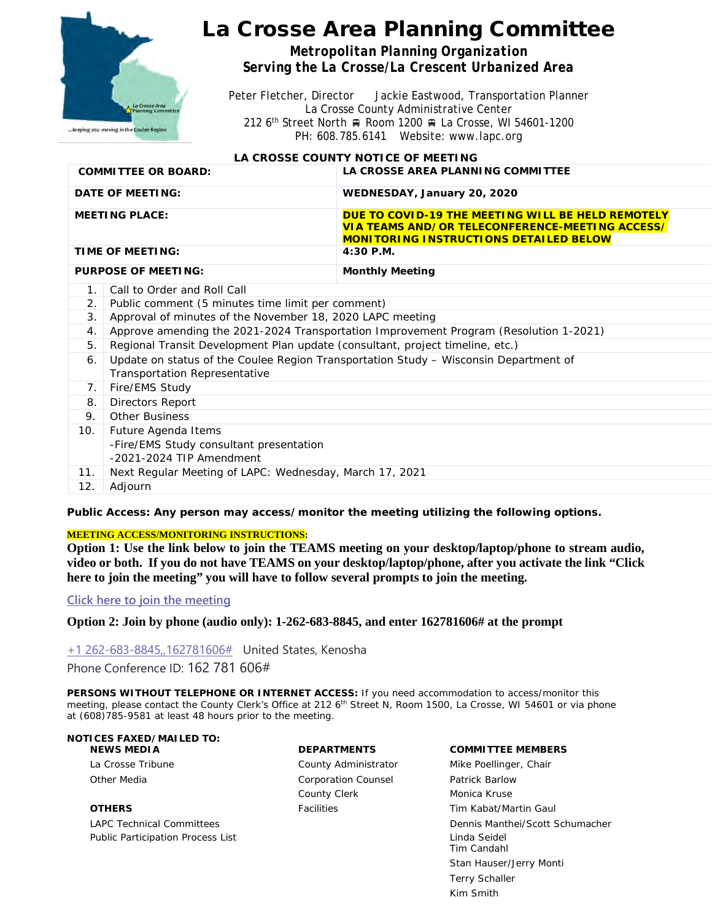

# La Crosse Area Planning Committee

*Metropolitan Planning Organization Serving the La Crosse/La Crescent Urbanized Area*

Peter Fletcher, Director Jackie Eastwood, Transportation Planner La Crosse County Administrative Center 212 6<sup>th</sup> Street North A Room 1200 A La Crosse, WI 54601-1200 PH: 608.785.6141 Website: www.lapc.org

### **LA CROSSE COUNTY NOTICE OF MEETING**

| <b>COMMITTEE OR BOARD:</b> | LA CROSSE AREA PLANNING COMMITTEE                                                                                                                            |
|----------------------------|--------------------------------------------------------------------------------------------------------------------------------------------------------------|
| DATE OF MEETING:           | WEDNESDAY, January 20, 2020                                                                                                                                  |
| <b>MEETING PLACE:</b>      | DUE TO COVID-19 THE MEETING WILL BE HELD REMOTELY<br><b>VIA TEAMS AND/OR TELECONFERENCE-MEETING ACCESS/</b><br><b>MONITORING INSTRUCTIONS DETAILED BELOW</b> |
| TIME OF MEETING:           | 4:30 P.M.                                                                                                                                                    |
| <b>PURPOSE OF MEETING:</b> | <b>Monthly Meeting</b>                                                                                                                                       |

- 1. Call to Order and Roll Call
- 2. Public comment (5 minutes time limit per comment)
- 3. Approval of minutes of the November 18, 2020 LAPC meeting
- 4. Approve amending the 2021-2024 Transportation Improvement Program (Resolution 1-2021)
- 5. Regional Transit Development Plan update (consultant, project timeline, etc.)
- 6. Update on status of the Coulee Region Transportation Study Wisconsin Department of Transportation Representative

|     | Fire/EMS Study                                          |
|-----|---------------------------------------------------------|
| 8.  | Directors Report                                        |
| 9.  | <b>Other Business</b>                                   |
| 10. | Future Agenda Items                                     |
|     | -Fire/EMS Study consultant presentation                 |
|     | $-2021-2024$ TIP Amendment                              |
| 11. | Next Regular Meeting of LAPC: Wednesday, March 17, 2021 |
| 12. | Adiourn                                                 |

*Public Access: Any person may access/monitor the meeting utilizing the following options.*

#### **MEETING ACCESS/MONITORING INSTRUCTIONS:**

**Option 1: Use the link below to join the TEAMS meeting on your desktop/laptop/phone to stream audio, video or both. If you do not have TEAMS on your desktop/laptop/phone, after you activate the link "Click here to join the meeting" you will have to follow several prompts to join the meeting.**

#### **[Click here to join the meeting](https://teams.microsoft.com/l/meetup-join/19%3ameeting_YTVmZDIzOTUtYzRhNC00YzA3LWI5OGEtODdiZDdmNGE5MmRh%40thread.v2/0?context=%7b%22Tid%22%3a%2290642ce5-3c11-4728-aa2d-fc5917738a93%22%2c%22Oid%22%3a%227ee6340e-e19c-424b-b54f-ca9e9dfac90c%22%7d)**

**Option 2: Join by phone (audio only): 1-262-683-8845, and enter 162781606# at the prompt**

[+1 262-683-8845,,162781606#](tel:+12626838845,,162781606#%20) United States, Kenosha Phone Conference ID: 162 781 606#

*PERSONS WITHOUT TELEPHONE OR INTERNET ACCESS: If you need accommodation to access/monitor this meeting, please contact the County Clerk's Office at 212 6th Street N, Room 1500, La Crosse, WI 54601 or via phone at (608)785-9581 at least 48 hours prior to the meeting.*

### **NOTICES FAXED/MAILED TO:**

Public Participation Process List Linda Seidel Annual Seidel Annual Seidel Annual Seidel Annual Seidel Annual Seidel

Other Media **Corporation Counsel Patrick Barlow** Corporation Counsel Patrick Barlow County Clerk Monica Kruse

**NEWS MEDIA DEPARTMENTS COMMITTEE MEMBERS** La Crosse Tribune **County Administrator** Mike Poellinger, Chair **OTHERS Facilities Facilities Facilities Facilities Facilities Facilities Facilities Facilities Facilities Facilities Facilities Facilities Facilities Facilities Facilities Facilities Faci** LAPC Technical Committees Dennis Manthei/Scott Schumacher Tim Candahl Stan Hauser/Jerry Monti Terry Schaller Kim Smith